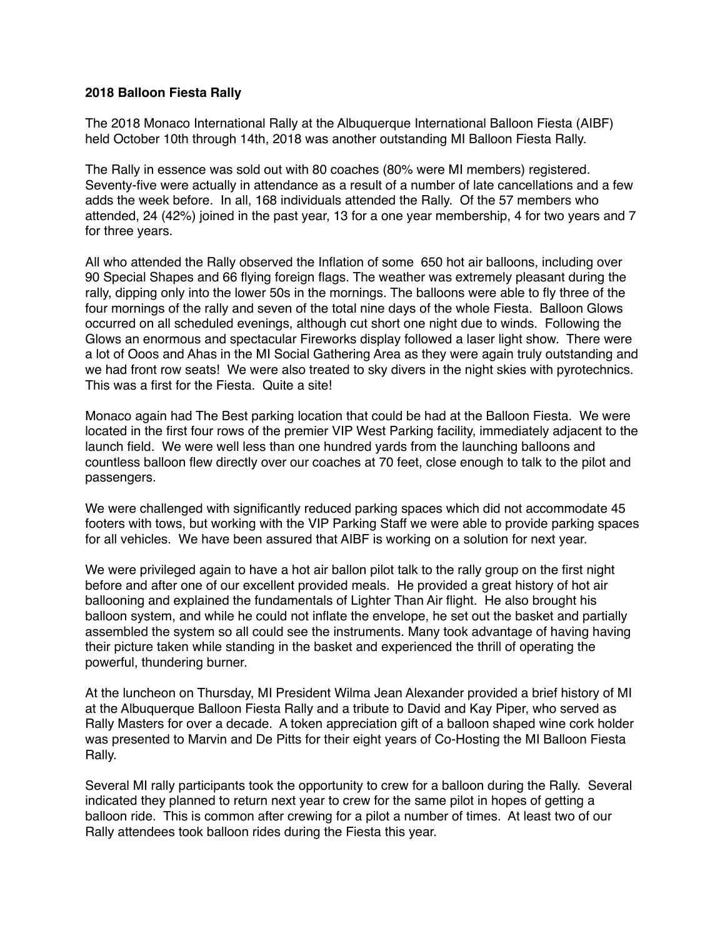## **2018 Balloon Fiesta Rally**

The 2018 Monaco International Rally at the Albuquerque International Balloon Fiesta (AIBF) held October 10th through 14th, 2018 was another outstanding MI Balloon Fiesta Rally.

The Rally in essence was sold out with 80 coaches (80% were MI members) registered. Seventy-five were actually in attendance as a result of a number of late cancellations and a few adds the week before. In all, 168 individuals attended the Rally. Of the 57 members who attended, 24 (42%) joined in the past year, 13 for a one year membership, 4 for two years and 7 for three years.

All who attended the Rally observed the Inflation of some 650 hot air balloons, including over 90 Special Shapes and 66 flying foreign flags. The weather was extremely pleasant during the rally, dipping only into the lower 50s in the mornings. The balloons were able to fly three of the four mornings of the rally and seven of the total nine days of the whole Fiesta. Balloon Glows occurred on all scheduled evenings, although cut short one night due to winds. Following the Glows an enormous and spectacular Fireworks display followed a laser light show. There were a lot of Ooos and Ahas in the MI Social Gathering Area as they were again truly outstanding and we had front row seats! We were also treated to sky divers in the night skies with pyrotechnics. This was a first for the Fiesta. Quite a site!

Monaco again had The Best parking location that could be had at the Balloon Fiesta. We were located in the first four rows of the premier VIP West Parking facility, immediately adjacent to the launch field. We were well less than one hundred yards from the launching balloons and countless balloon flew directly over our coaches at 70 feet, close enough to talk to the pilot and passengers.

We were challenged with significantly reduced parking spaces which did not accommodate 45 footers with tows, but working with the VIP Parking Staff we were able to provide parking spaces for all vehicles. We have been assured that AIBF is working on a solution for next year.

We were privileged again to have a hot air ballon pilot talk to the rally group on the first night before and after one of our excellent provided meals. He provided a great history of hot air ballooning and explained the fundamentals of Lighter Than Air flight. He also brought his balloon system, and while he could not inflate the envelope, he set out the basket and partially assembled the system so all could see the instruments. Many took advantage of having having their picture taken while standing in the basket and experienced the thrill of operating the powerful, thundering burner.

At the luncheon on Thursday, MI President Wilma Jean Alexander provided a brief history of MI at the Albuquerque Balloon Fiesta Rally and a tribute to David and Kay Piper, who served as Rally Masters for over a decade. A token appreciation gift of a balloon shaped wine cork holder was presented to Marvin and De Pitts for their eight years of Co-Hosting the MI Balloon Fiesta Rally.

Several MI rally participants took the opportunity to crew for a balloon during the Rally. Several indicated they planned to return next year to crew for the same pilot in hopes of getting a balloon ride. This is common after crewing for a pilot a number of times. At least two of our Rally attendees took balloon rides during the Fiesta this year.